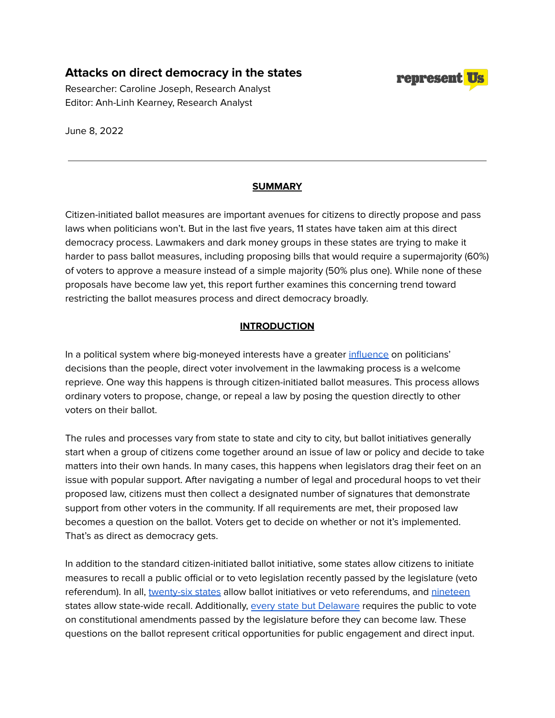# **Attacks on direct democracy in the states**

Researcher: Caroline Joseph, Research Analyst Editor: Anh-Linh Kearney, Research Analyst



June 8, 2022

## **SUMMARY**

Citizen-initiated ballot measures are important avenues for citizens to directly propose and pass laws when politicians won't. But in the last five years, 11 states have taken aim at this direct democracy process. Lawmakers and dark money groups in these states are trying to make it harder to pass ballot measures, including proposing bills that would require a supermajority (60%) of voters to approve a measure instead of a simple majority (50% plus one). While none of these proposals have become law yet, this report further examines this concerning trend toward restricting the ballot measures process and direct democracy broadly.

## **INTRODUCTION**

In a political system where big-moneyed interests have a greater [influence](https://www.vox.com/2014/4/18/5624310/martin-gilens-testing-theories-of-american-politics-explained) on politicians' decisions than the people, direct voter involvement in the lawmaking process is a welcome reprieve. One way this happens is through citizen-initiated ballot measures. This process allows ordinary voters to propose, change, or repeal a law by posing the question directly to other voters on their ballot.

The rules and processes vary from state to state and city to city, but ballot initiatives generally start when a group of citizens come together around an issue of law or policy and decide to take matters into their own hands. In many cases, this happens when legislators drag their feet on an issue with popular support. After navigating a number of legal and procedural hoops to vet their proposed law, citizens must then collect a designated number of signatures that demonstrate support from other voters in the community. If all requirements are met, their proposed law becomes a question on the ballot. Voters get to decide on whether or not it's implemented. That's as direct as democracy gets.

In addition to the standard citizen-initiated ballot initiative, some states allow citizens to initiate measures to recall a public official or to veto legislation recently passed by the legislature (veto referendum). In all, [twenty-six](https://ballotpedia.org/States_with_initiative_or_referendum) states allow ballot initiatives or veto referendums, and [nineteen](https://www.ncsl.org/research/elections-and-campaigns/recall-of-state-officials.aspx) states allow state-wide recall. Additionally, every state but [Delaware](https://ballotpedia.org/Legislatively_referred_constitutional_amendment) requires the public to vote on constitutional amendments passed by the legislature before they can become law. These questions on the ballot represent critical opportunities for public engagement and direct input.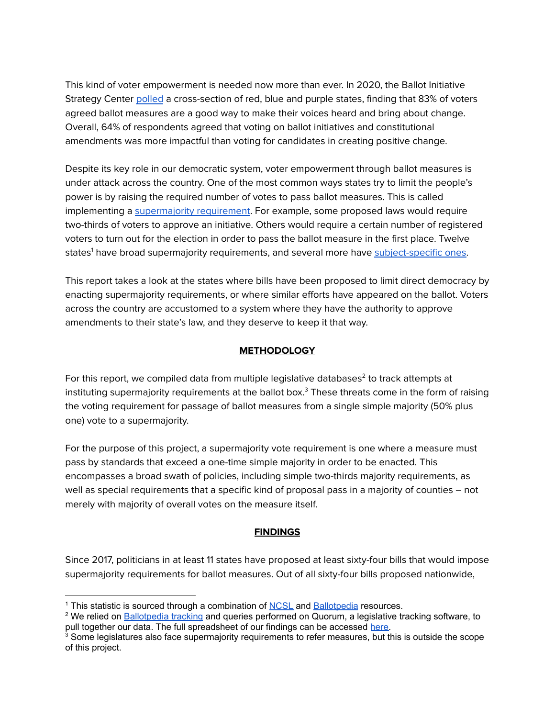This kind of voter empowerment is needed now more than ever. In 2020, the Ballot Initiative Strategy Center [polled](https://ballot.org/wp-content/uploads/2020/11/Post-Election-Landscape-Briefing-11_19.pdf) a cross-section of red, blue and purple states, finding that 83% of voters agreed ballot measures are a good way to make their voices heard and bring about change. Overall, 64% of respondents agreed that voting on ballot initiatives and constitutional amendments was more impactful than voting for candidates in creating positive change.

Despite its key role in our democratic system, voter empowerment through ballot measures is under attack across the country. One of the most common ways states try to limit the people's power is by raising the required number of votes to pass ballot measures. This is called implementing a [supermajority](https://ballotpedia.org/Supermajority_requirement) requirement. For example, some proposed laws would require two-thirds of voters to approve an initiative. Others would require a certain number of registered voters to turn out for the election in order to pass the ballot measure in the first place. Twelve states<sup>1</sup> have broad supermajority requirements, and several more have <u>[subject-specific](https://ballotpedia.org/Supermajority_requirementaigns/supermajority-vote-requirements.aspx) ones</u>.

This report takes a look at the states where bills have been proposed to limit direct democracy by enacting supermajority requirements, or where similar efforts have appeared on the ballot. Voters across the country are accustomed to a system where they have the authority to approve amendments to their state's law, and they deserve to keep it that way.

### **METHODOLOGY**

For this report, we compiled data from multiple legislative databases $^{\text{2}}$  to track attempts at instituting supermajority requirements at the ballot box. $^3$  These threats come in the form of raising the voting requirement for passage of ballot measures from a single simple majority (50% plus one) vote to a supermajority.

For the purpose of this project, a supermajority vote requirement is one where a measure must pass by standards that exceed a one-time simple majority in order to be enacted. This encompasses a broad swath of policies, including simple two-thirds majority requirements, as well as special requirements that a specific kind of proposal pass in a majority of counties – not merely with majority of overall votes on the measure itself.

### **FINDINGS**

Since 2017, politicians in at least 11 states have proposed at least sixty-four bills that would impose supermajority requirements for ballot measures. Out of all sixty-four bills proposed nationwide,

<sup>&</sup>lt;sup>1</sup> This statistic is sourced through a combination of [NCSL](https://www.ncsl.org/research/elections-and-campaigns/supermajority-vote-requirements.aspx) and [Ballotpedia](https://ballotpedia.org/Supermajority_requirement) resources.

<sup>&</sup>lt;sup>2</sup> We relied on **[Ballotpedia](https://ballotpedia.org/Changes_in_2022_to_laws_governing_ballot_measures) tracking and queries performed on Quorum**, a legislative tracking software, to pull together our data. The full spreadsheet of our findings can be accessed [here.](https://represent.us/wp-content/uploads/2022/06/Public-Appendix_-Supermajority-Bills-Proposed-2017-2022-Sheet1.pdf)

 $3$  Some legislatures also face supermajority requirements to refer measures, but this is outside the scope of this project.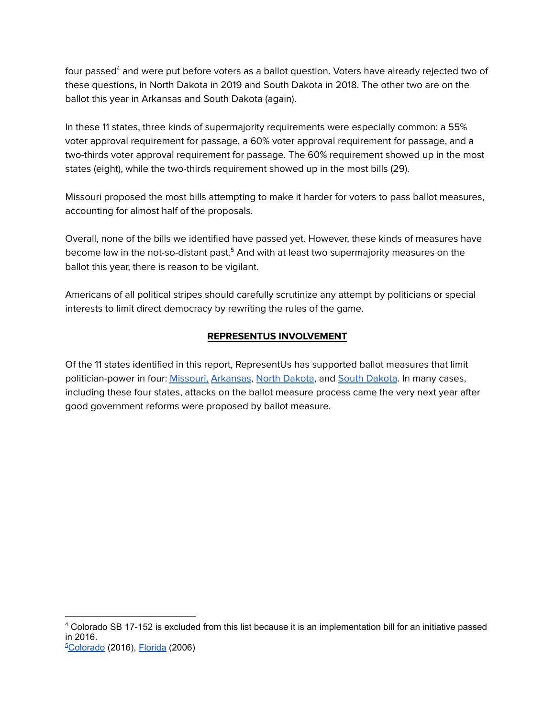four passed $^{\text{4}}$  and were put before voters as a ballot question. Voters have already rejected two of these questions, in North Dakota in 2019 and South Dakota in 2018. The other two are on the ballot this year in Arkansas and South Dakota (again).

In these 11 states, three kinds of supermajority requirements were especially common: a 55% voter approval requirement for passage, a 60% voter approval requirement for passage, and a two-thirds voter approval requirement for passage. The 60% requirement showed up in the most states (eight), while the two-thirds requirement showed up in the most bills (29).

Missouri proposed the most bills attempting to make it harder for voters to pass ballot measures, accounting for almost half of the proposals.

Overall, none of the bills we identified have passed yet. However, these kinds of measures have become law in the not-so-distant past.<sup>5</sup> And with at least two supermajority measures on the ballot this year, there is reason to be vigilant.

Americans of all political stripes should carefully scrutinize any attempt by politicians or special interests to limit direct democracy by rewriting the rules of the game.

## **REPRESENTUS INVOLVEMENT**

Of the 11 states identified in this report, RepresentUs has supported ballot measures that limit politician-power in four: [Missouri,](https://represent.us/election2018/missouri-campaign-timeline/) [Arkansas](https://ballotpedia.org/Arkansas_Issue_4,_Redistricting_Commission_Amendment_(2020)), North [Dakota,](https://represent.us/election2018/north-dakota-campaign-timeline/) and South [Dakota](https://represent.us/election2018/south-dakota-campaign-timeline/). In many cases, including these four states, attacks on the ballot measure process came the very next year after good government reforms were proposed by ballot measure.

<sup>&</sup>lt;sup>5</sup>[Colorado](https://ballotpedia.org/Colorado_Imposition_of_Distribution_and_Supermajority_Requirements_for_Citizen-Initiated_Constitutional_Amendments,_Amendment_71_(2016)) (2016), [Florida](https://ballotpedia.org/Florida_Amendment_3,_Supermajority_Vote_Required_to_Approve_a_Constitutional_Amendment_(2006)) (2006) <sup>4</sup> Colorado SB 17-152 is excluded from this list because it is an implementation bill for an initiative passed in 2016.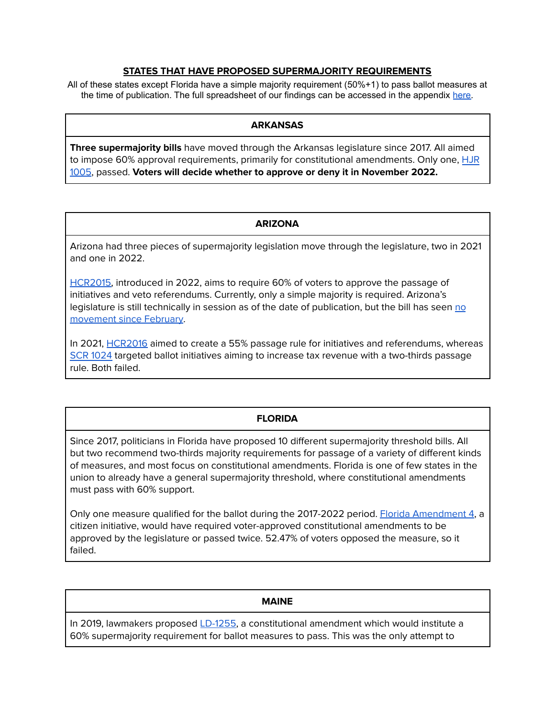#### **STATES THAT HAVE PROPOSED SUPERMAJORITY REQUIREMENTS**

All of these states except Florida have a simple majority requirement (50%+1) to pass ballot measures at the time of publication. The full spreadsheet of our findings can be accessed in the appendix [here.](https://represent.us/wp-content/uploads/2022/06/Public-Appendix_-Supermajority-Bills-Proposed-2017-2022-Sheet1.pdf)

#### **ARKANSAS**

**Three supermajority bills** have moved through the Arkansas legislature since 2017. All aimed to impose 60% approval requirements, primarily for constitutional amendments. Only one, [HJR](https://www.arkleg.state.ar.us/Bills/Detail?id=HJR1005&ddBienniumSession=2021%2F2021R) [1005,](https://www.arkleg.state.ar.us/Bills/Detail?id=HJR1005&ddBienniumSession=2021%2F2021R) passed. **Voters will decide whether to approve or deny it in November 2022.**

#### **ARIZONA**

Arizona had three pieces of supermajority legislation move through the legislature, two in 2021 and one in 2022.

[HCR2015,](https://apps.azleg.gov/BillStatus/BillOverview/76893?SessionId=125) introduced in 2022, aims to require 60% of voters to approve the passage of initiatives and veto referendums. Currently, only a simple majority is required. Arizona's legislature is still technically in session as of the date of publication, but the bill has seen [no](https://apps.azleg.gov/BillStatus/BillOverview/76893?SessionId=125) [movement](https://apps.azleg.gov/BillStatus/BillOverview/76893?SessionId=125) since February.

In 2021, [HCR2016](https://ballotpedia.org/Arizona_55%25_Vote_Required_for_Ballot_Initiatives_Amendment_(2022)) aimed to create a 55% passage rule for initiatives and referendums, whereas SCR [1024](https://ballotpedia.org/Arizona_Two-Thirds_Vote_for_Tax_Revenue_Increasing_Initiatives_Amendment_(2022)) targeted ballot initiatives aiming to increase tax revenue with a two-thirds passage rule. Both failed.

#### **FLORIDA**

Since 2017, politicians in Florida have proposed 10 different supermajority threshold bills. All but two recommend two-thirds majority requirements for passage of a variety of different kinds of measures, and most focus on constitutional amendments. Florida is one of few states in the union to already have a general supermajority threshold, where constitutional amendments must pass with 60% support.

Only one measure qualified for the ballot during the 2017-2022 period. Florida [Amendment](https://ballotpedia.org/Florida_Amendment_4,_Require_Constitutional_Amendments_to_be_Passed_Twice_Initiative_(2020)) 4, a citizen initiative, would have required voter-approved constitutional amendments to be approved by the legislature or passed twice. 52.47% of voters opposed the measure, so it failed.

#### **MAINE**

In 2019, lawmakers proposed [LD-1255,](https://legislature.maine.gov/LawMakerWeb/summary.asp?ID=280072491) a constitutional amendment which would institute a 60% supermajority requirement for ballot measures to pass. This was the only attempt to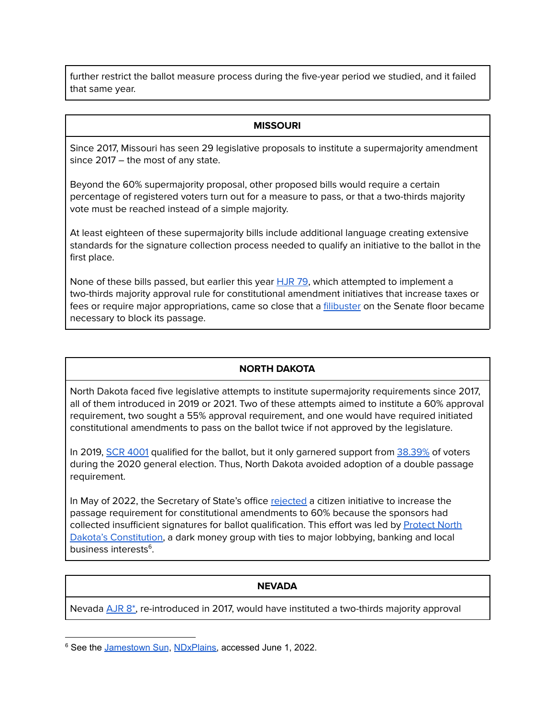further restrict the ballot measure process during the five-year period we studied, and it failed that same year.

#### **MISSOURI**

Since 2017, Missouri has seen 29 legislative proposals to institute a supermajority amendment since 2017 – the most of any state.

Beyond the 60% supermajority proposal, other proposed bills would require a certain percentage of registered voters turn out for a measure to pass, or that a two-thirds majority vote must be reached instead of a simple majority.

At least eighteen of these supermajority bills include additional language creating extensive standards for the signature collection process needed to qualify an initiative to the ballot in the first place.

None of these bills passed, but earlier this year [HJR](https://legiscan.com/MO/bill/HJR79/2022) 79, which attempted to implement a two-thirds majority approval rule for constitutional amendment initiatives that increase taxes or fees or require major appropriations, came so close that a [filibuster](https://missouriindependent.com/2022/05/11/democrat-filibuster-derails-gop-measure-to-change-initiative-petition-process/) on the Senate floor became necessary to block its passage.

### **NORTH DAKOTA**

North Dakota faced five legislative attempts to institute supermajority requirements since 2017, all of them introduced in 2019 or 2021. Two of these attempts aimed to institute a 60% approval requirement, two sought a 55% approval requirement, and one would have required initiated constitutional amendments to pass on the ballot twice if not approved by the legislature.

In 2019, SCR [4001](https://www.legis.nd.gov/assembly/66-2019/bill-actions/ba4001.html) qualified for the ballot, but it only garnered support from [38.39%](https://ballotpedia.org/North_Dakota_Constitutional_Measure_2,_Require_Initiated_Constitutional_Amendments_to_be_Approved_by_the_Legislature_or_Passed_Twice_Amendment_(2020)) of voters during the 2020 general election. Thus, North Dakota avoided adoption of a double passage requirement.

In May of 2022, the Secretary of State's office [rejected](https://www.usnews.com/news/best-states/north-dakota/articles/2022-05-23/jaeger-denies-measure-for-change-in-nd-constitution) a citizen initiative to increase the passage requirement for constitutional amendments to 60% because the sponsors had collected insufficient signatures for ballot qualification. This effort was led by [Protect](https://www.protectndconstitution.com/) North Dakota's [Constitution,](https://www.protectndconstitution.com/) a dark money group with ties to major lobbying, banking and local business interests 6 .

#### **NEVADA**

Nevada [AJR](https://www.leg.state.nv.us/App/NELIS/REL/79th2017/Bill/4804/Overview) 8\*, re-introduced in 2017, would have instituted a two-thirds majority approval

<sup>&</sup>lt;sup>6</sup> See the [Jamestown](https://www.jamestownsun.com/opinion/letters/dont-let-protect-north-dakotas-constitution-campaign-fool-you) Sun, [NDxPlains,](https://ndxplains.com/2021/04/17/protecting-north-dakotas-constitution-or-their-own-self-interests/) accessed June 1, 2022.